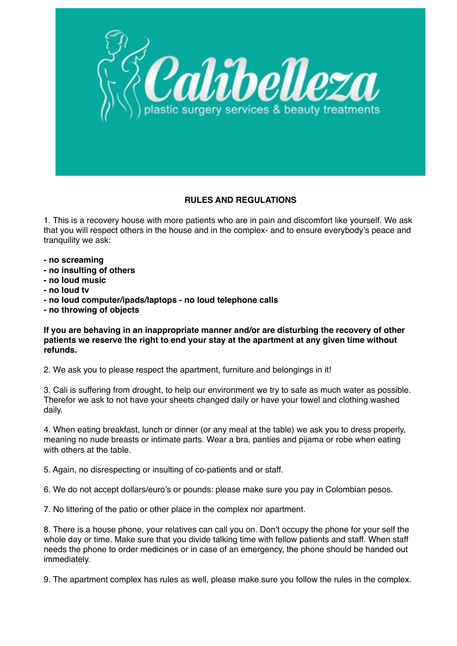

## **RULES AND REGULATIONS**

1. This is a recovery house with more patients who are in pain and discomfort like yourself. We ask that you will respect others in the house and in the complex- and to ensure everybody's peace and tranquility we ask:

- **no screaming**
- **no insulting of others**
- **no loud music**
- **no loud tv**
- **no loud computer/ipads/laptops no loud telephone calls**
- **no throwing of objects**

**If you are behaving in an inappropriate manner and/or are disturbing the recovery of other patients we reserve the right to end your stay at the apartment at any given time without refunds.**

2. We ask you to please respect the apartment, furniture and belongings in it!

3. Cali is suffering from drought, to help our environment we try to safe as much water as possible. Therefor we ask to not have your sheets changed daily or have your towel and clothing washed daily.

4. When eating breakfast, lunch or dinner (or any meal at the table) we ask you to dress properly, meaning no nude breasts or intimate parts. Wear a bra, panties and pijama or robe when eating with others at the table.

5. Again, no disrespecting or insulting of co-patients and or staff.

6. We do not accept dollars/euro's or pounds: please make sure you pay in Colombian pesos.

7. No littering of the patio or other place in the complex nor apartment.

8. There is a house phone, your relatives can call you on. Don't occupy the phone for your self the whole day or time. Make sure that you divide talking time with fellow patients and staff. When staff needs the phone to order medicines or in case of an emergency, the phone should be handed out immediately.

9. The apartment complex has rules as well, please make sure you follow the rules in the complex.